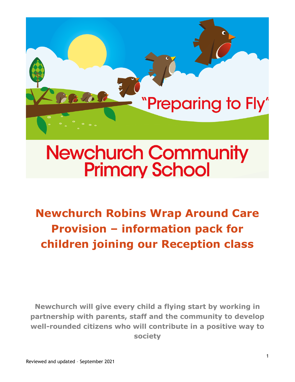

# **Newchurch Community Primary School**

**Newchurch Robins Wrap Around Care Provision – information pack for children joining our Reception class** 

**Newchurch will give every child a flying start by working in partnership with parents, staff and the community to develop well-rounded citizens who will contribute in a positive way to society**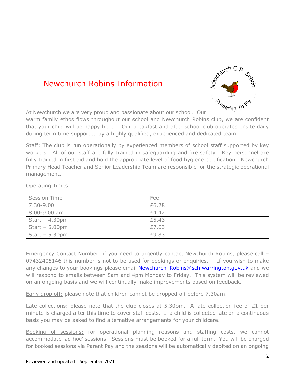## Newchurch Robins Information



At Newchurch we are very proud and passionate about our school. Our

warm family ethos flows throughout our school and Newchurch Robins club, we are confident that your child will be happy here. Our breakfast and after school club operates onsite daily during term time supported by a highly qualified, experienced and dedicated team.

Staff: The club is run operationally by experienced members of school staff supported by key workers. All of our staff are fully trained in safeguarding and fire safety. Key personnel are fully trained in first aid and hold the appropriate level of food hygiene certification. Newchurch Primary Head Teacher and Senior Leadership Team are responsible for the strategic operational management.

#### Operating Times:

| <b>Session Time</b> | Fee   |
|---------------------|-------|
| 7.30-9.00           | £6.28 |
| 8.00-9.00 am        | £4.42 |
| Start $-4.30$ pm    | £5.43 |
| $Start - 5.00pm$    | £7.63 |
| Start $-5.30$ pm    | £9.83 |

Emergency Contact Number: if you need to urgently contact Newchurch Robins, please call – 07432405146 this number is not to be used for bookings or enquiries. If you wish to make any changes to your bookings please email **Newchurch Robins@sch.warrington.gov.uk** and we will respond to emails between 8am and 4pm Monday to Friday. This system will be reviewed on an ongoing basis and we will continually make improvements based on feedback.

Early drop off: please note that children cannot be dropped off before 7.30am.

Late collections: please note that the club closes at 5.30pm. A late collection fee of £1 per minute is charged after this time to cover staff costs. If a child is collected late on a continuous basis you may be asked to find alternative arrangements for your childcare.

Booking of sessions: for operational planning reasons and staffing costs, we cannot accommodate 'ad hoc' sessions. Sessions must be booked for a full term. You will be charged for booked sessions via Parent Pay and the sessions will be automatically debited on an ongoing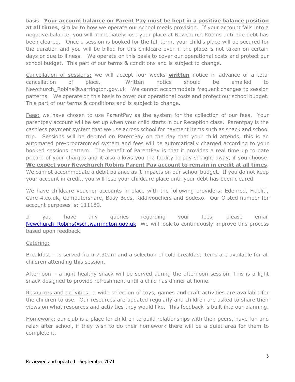### basis. **Your account balance on Parent Pay must be kept in a positive balance position**

**at all times**, similar to how we operate our school meals provision. If your account falls into a negative balance, you will immediately lose your place at Newchurch Robins until the debt has been cleared. Once a session is booked for the full term, your child's place will be secured for the duration and you will be billed for this childcare even if the place is not taken on certain days or due to illness. We operate on this basis to cover our operational costs and protect our school budget. This part of our terms & conditions and is subject to change.

Cancellation of sessions: we will accept four weeks **written** notice in advance of a total cancellation of place. Written notice should be emailed to Newchurch\_Robins@warrington.gov.uk We cannot accommodate frequent changes to session patterns. We operate on this basis to cover our operational costs and protect our school budget. This part of our terms & conditions and is subject to change.

Fees: we have chosen to use ParentPay as the system for the collection of our fees. Your parentpay account will be set up when your child starts in our Reception class. Parentpay is the cashless payment system that we use across school for payment items such as snack and school trip. Sessions will be debited on ParentPay on the day that your child attends, this is an automated pre-programmed system and fees will be automatically charged according to your booked sessions pattern. The benefit of ParentPay is that it provides a real time up to date picture of your charges and it also allows you the facility to pay straight away, if you choose. **We expect your Newchurch Robins Parent Pay account to remain in credit at all times**. We cannot accommodate a debit balance as it impacts on our school budget. If you do not keep your account in credit, you will lose your childcare place until your debt has been cleared.

We have childcare voucher accounts in place with the following providers: Edenred, Fideliti, Care-4.co.uk, Computershare, Busy Bees, Kiddivouchers and Sodexo. Our Ofsted number for account purposes is: 111189.

If you have any queries regarding your fees, please email Newchurch Robins@sch.warrington.gov.uk We will look to continuously improve this process based upon feedback.

#### Catering:

Breakfast – is served from 7.30am and a selection of cold breakfast items are available for all children attending this session.

Afternoon – a light healthy snack will be served during the afternoon session. This is a light snack designed to provide refreshment until a child has dinner at home.

Resources and activities: a wide selection of toys, games and craft activities are available for the children to use. Our resources are updated regularly and children are asked to share their views on what resources and activities they would like. This feedback is built into our planning.

Homework: our club is a place for children to build relationships with their peers, have fun and relax after school, if they wish to do their homework there will be a quiet area for them to complete it.